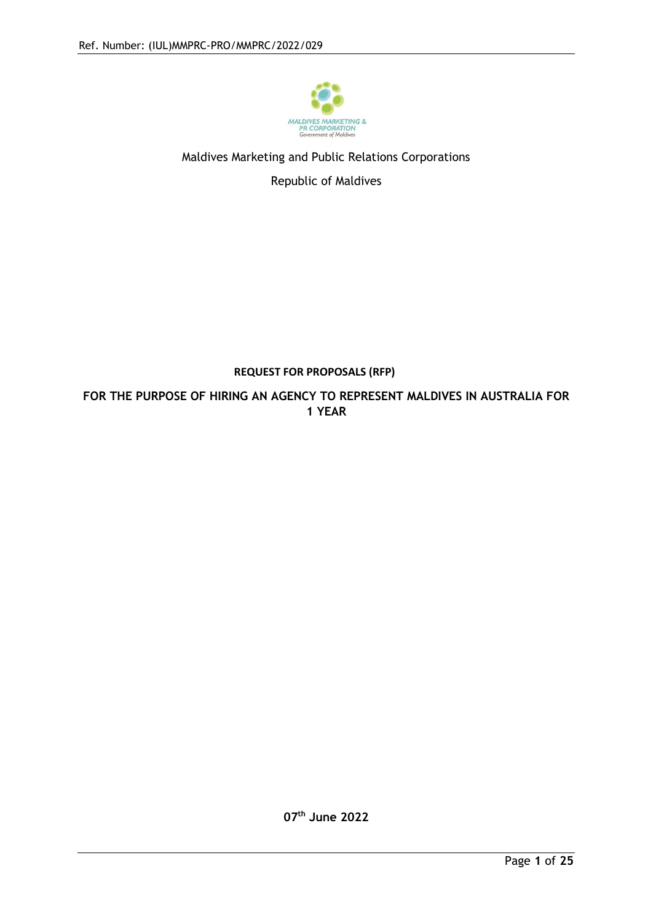

## Maldives Marketing and Public Relations Corporations

Republic of Maldives

## **REQUEST FOR PROPOSALS (RFP)**

**FOR THE PURPOSE OF HIRING AN AGENCY TO REPRESENT MALDIVES IN AUSTRALIA FOR 1 YEAR**

**07th June 2022**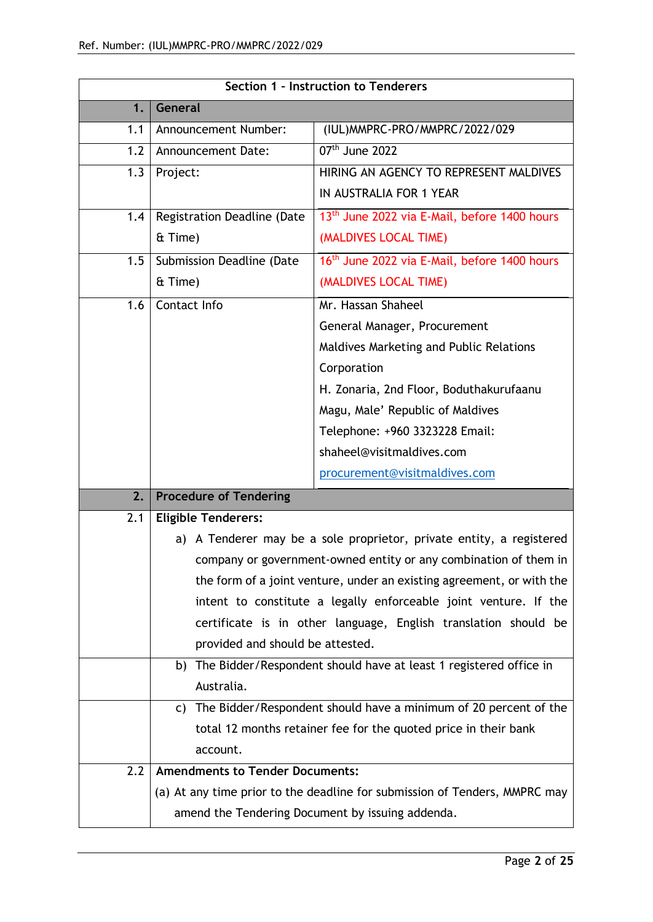| Section 1 - Instruction to Tenderers |                                                                       |                                                                            |  |
|--------------------------------------|-----------------------------------------------------------------------|----------------------------------------------------------------------------|--|
| 1.                                   | General                                                               |                                                                            |  |
| 1.1                                  | Announcement Number:                                                  | (IUL) MMPRC-PRO/MMPRC/2022/029                                             |  |
| 1.2                                  | <b>Announcement Date:</b>                                             | $07th$ June 2022                                                           |  |
| 1.3                                  | Project:                                                              | HIRING AN AGENCY TO REPRESENT MALDIVES                                     |  |
|                                      |                                                                       | IN AUSTRALIA FOR 1 YEAR                                                    |  |
| 1.4                                  | Registration Deadline (Date                                           | 13 <sup>th</sup> June 2022 via E-Mail, before 1400 hours                   |  |
|                                      | & Time)                                                               | (MALDIVES LOCAL TIME)                                                      |  |
| 1.5                                  | Submission Deadline (Date                                             | 16 <sup>th</sup> June 2022 via E-Mail, before 1400 hours                   |  |
|                                      | & Time)                                                               | (MALDIVES LOCAL TIME)                                                      |  |
| 1.6                                  | Contact Info                                                          | Mr. Hassan Shaheel                                                         |  |
|                                      |                                                                       | General Manager, Procurement                                               |  |
|                                      |                                                                       | Maldives Marketing and Public Relations                                    |  |
|                                      |                                                                       | Corporation                                                                |  |
|                                      |                                                                       | H. Zonaria, 2nd Floor, Boduthakurufaanu                                    |  |
|                                      |                                                                       | Magu, Male' Republic of Maldives                                           |  |
|                                      |                                                                       | Telephone: +960 3323228 Email:                                             |  |
|                                      |                                                                       | shaheel@visitmaldives.com                                                  |  |
|                                      |                                                                       | procurement@visitmaldives.com                                              |  |
| 2.                                   | <b>Procedure of Tendering</b>                                         |                                                                            |  |
| 2.1                                  | <b>Eligible Tenderers:</b>                                            |                                                                            |  |
|                                      | a) A Tenderer may be a sole proprietor, private entity, a registered  |                                                                            |  |
|                                      | company or government-owned entity or any combination of them in      |                                                                            |  |
|                                      | the form of a joint venture, under an existing agreement, or with the |                                                                            |  |
|                                      | intent to constitute a legally enforceable joint venture. If the      |                                                                            |  |
|                                      | certificate is in other language, English translation should be       |                                                                            |  |
|                                      | provided and should be attested.                                      |                                                                            |  |
|                                      | b) The Bidder/Respondent should have at least 1 registered office in  |                                                                            |  |
|                                      | Australia.                                                            |                                                                            |  |
|                                      | C)                                                                    | The Bidder/Respondent should have a minimum of 20 percent of the           |  |
|                                      |                                                                       | total 12 months retainer fee for the quoted price in their bank            |  |
|                                      | account.                                                              |                                                                            |  |
| 2.2                                  | <b>Amendments to Tender Documents:</b>                                |                                                                            |  |
|                                      |                                                                       | (a) At any time prior to the deadline for submission of Tenders, MMPRC may |  |
|                                      |                                                                       | amend the Tendering Document by issuing addenda.                           |  |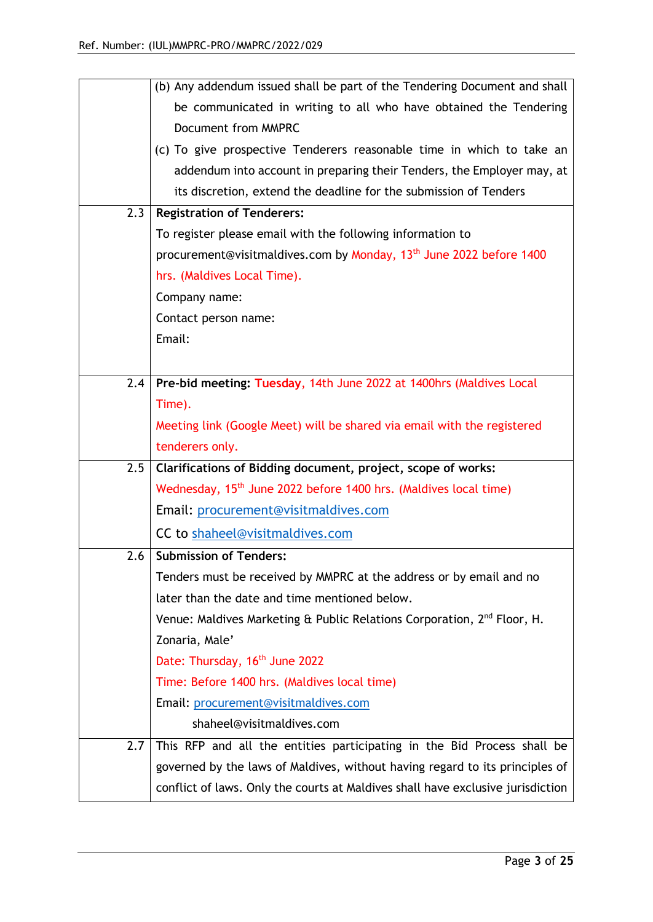|     | (b) Any addendum issued shall be part of the Tendering Document and shall           |
|-----|-------------------------------------------------------------------------------------|
|     | be communicated in writing to all who have obtained the Tendering                   |
|     | Document from MMPRC                                                                 |
|     | (c) To give prospective Tenderers reasonable time in which to take an               |
|     | addendum into account in preparing their Tenders, the Employer may, at              |
|     | its discretion, extend the deadline for the submission of Tenders                   |
| 2.3 | <b>Registration of Tenderers:</b>                                                   |
|     | To register please email with the following information to                          |
|     | procurement@visitmaldives.com by Monday, 13 <sup>th</sup> June 2022 before 1400     |
|     | hrs. (Maldives Local Time).                                                         |
|     | Company name:                                                                       |
|     | Contact person name:                                                                |
|     | Email:                                                                              |
|     |                                                                                     |
| 2.4 | Pre-bid meeting: Tuesday, 14th June 2022 at 1400hrs (Maldives Local                 |
|     | Time).                                                                              |
|     | Meeting link (Google Meet) will be shared via email with the registered             |
|     | tenderers only.                                                                     |
| 2.5 | Clarifications of Bidding document, project, scope of works:                        |
|     | Wednesday, 15 <sup>th</sup> June 2022 before 1400 hrs. (Maldives local time)        |
|     | Email: procurement@visitmaldives.com                                                |
|     | CC to shaheel@visitmaldives.com                                                     |
| 2.6 | <b>Submission of Tenders:</b>                                                       |
|     | Tenders must be received by MMPRC at the address or by email and no                 |
|     | later than the date and time mentioned below.                                       |
|     | Venue: Maldives Marketing & Public Relations Corporation, 2 <sup>nd</sup> Floor, H. |
|     | Zonaria, Male'                                                                      |
|     | Date: Thursday, 16 <sup>th</sup> June 2022                                          |
|     | Time: Before 1400 hrs. (Maldives local time)                                        |
|     | Email: procurement@visitmaldives.com                                                |
|     |                                                                                     |
|     | shaheel@visitmaldives.com                                                           |
| 2.7 | This RFP and all the entities participating in the Bid Process shall be             |
|     | governed by the laws of Maldives, without having regard to its principles of        |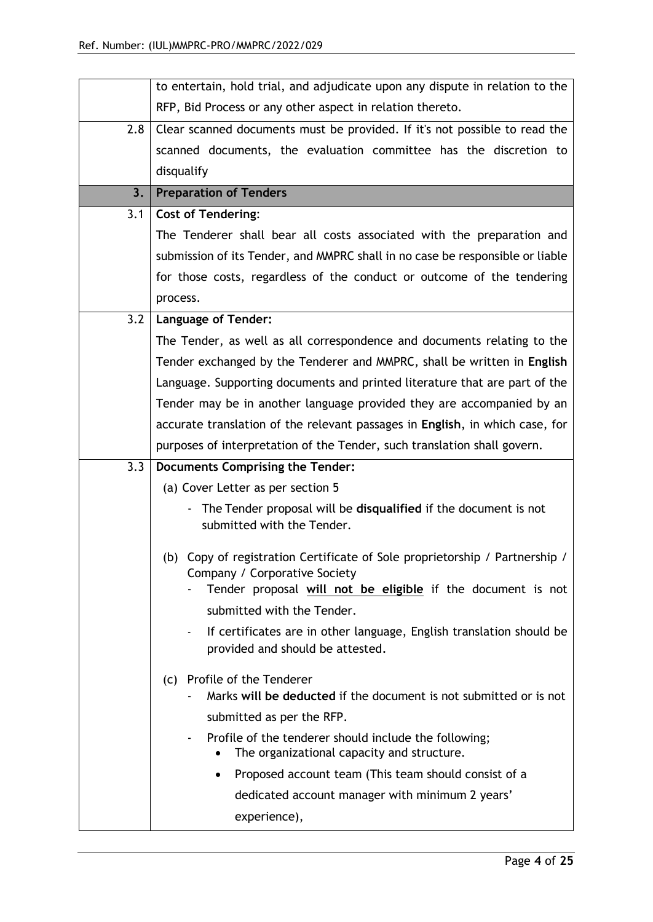|     | to entertain, hold trial, and adjudicate upon any dispute in relation to the                                               |  |  |
|-----|----------------------------------------------------------------------------------------------------------------------------|--|--|
|     | RFP, Bid Process or any other aspect in relation thereto.                                                                  |  |  |
| 2.8 | Clear scanned documents must be provided. If it's not possible to read the                                                 |  |  |
|     | scanned documents, the evaluation committee has the discretion to                                                          |  |  |
|     | disqualify                                                                                                                 |  |  |
| 3.  | <b>Preparation of Tenders</b>                                                                                              |  |  |
| 3.1 | <b>Cost of Tendering:</b>                                                                                                  |  |  |
|     | The Tenderer shall bear all costs associated with the preparation and                                                      |  |  |
|     | submission of its Tender, and MMPRC shall in no case be responsible or liable                                              |  |  |
|     | for those costs, regardless of the conduct or outcome of the tendering                                                     |  |  |
|     | process.                                                                                                                   |  |  |
| 3.2 | <b>Language of Tender:</b>                                                                                                 |  |  |
|     | The Tender, as well as all correspondence and documents relating to the                                                    |  |  |
|     | Tender exchanged by the Tenderer and MMPRC, shall be written in English                                                    |  |  |
|     | Language. Supporting documents and printed literature that are part of the                                                 |  |  |
|     | Tender may be in another language provided they are accompanied by an                                                      |  |  |
|     | accurate translation of the relevant passages in English, in which case, for                                               |  |  |
|     | purposes of interpretation of the Tender, such translation shall govern.                                                   |  |  |
| 3.3 | Documents Comprising the Tender:                                                                                           |  |  |
|     | (a) Cover Letter as per section 5                                                                                          |  |  |
|     | The Tender proposal will be disqualified if the document is not<br>submitted with the Tender.                              |  |  |
|     | (b) Copy of registration Certificate of Sole proprietorship / Partnership /                                                |  |  |
|     | Company / Corporative Society                                                                                              |  |  |
|     | Tender proposal will not be eligible if the document is not                                                                |  |  |
|     | submitted with the Tender.                                                                                                 |  |  |
|     | If certificates are in other language, English translation should be<br>$\blacksquare$<br>provided and should be attested. |  |  |
|     | (c) Profile of the Tenderer                                                                                                |  |  |
|     | Marks will be deducted if the document is not submitted or is not                                                          |  |  |
|     | submitted as per the RFP.                                                                                                  |  |  |
|     | Profile of the tenderer should include the following;<br>The organizational capacity and structure.                        |  |  |
|     |                                                                                                                            |  |  |
|     | Proposed account team (This team should consist of a<br>$\bullet$                                                          |  |  |
|     | dedicated account manager with minimum 2 years'                                                                            |  |  |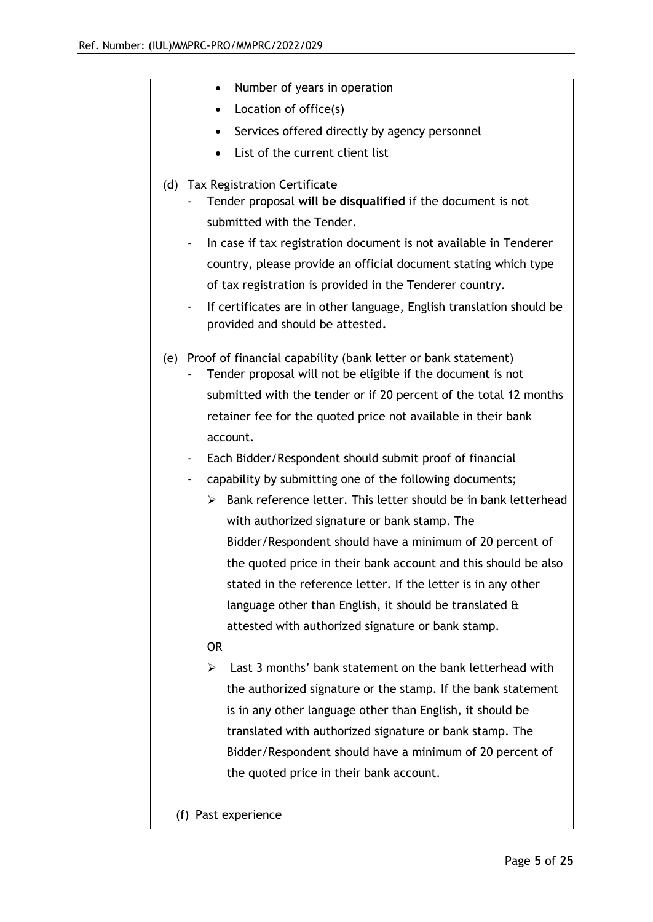| Number of years in operation<br>$\bullet$                                                                                        |
|----------------------------------------------------------------------------------------------------------------------------------|
| Location of office(s)                                                                                                            |
| Services offered directly by agency personnel                                                                                    |
| List of the current client list                                                                                                  |
| (d) Tax Registration Certificate                                                                                                 |
| Tender proposal will be disqualified if the document is not                                                                      |
| submitted with the Tender.                                                                                                       |
| In case if tax registration document is not available in Tenderer                                                                |
| country, please provide an official document stating which type                                                                  |
| of tax registration is provided in the Tenderer country.                                                                         |
| If certificates are in other language, English translation should be<br>provided and should be attested.                         |
| (e) Proof of financial capability (bank letter or bank statement)<br>Tender proposal will not be eligible if the document is not |
| submitted with the tender or if 20 percent of the total 12 months                                                                |
| retainer fee for the quoted price not available in their bank                                                                    |
| account.                                                                                                                         |
| Each Bidder/Respondent should submit proof of financial                                                                          |
| capability by submitting one of the following documents;                                                                         |
| > Bank reference letter. This letter should be in bank letterhead                                                                |
| with authorized signature or bank stamp. The                                                                                     |
| Bidder/Respondent should have a minimum of 20 percent of                                                                         |
| the quoted price in their bank account and this should be also                                                                   |
| stated in the reference letter. If the letter is in any other                                                                    |
| language other than English, it should be translated $\alpha$                                                                    |
| attested with authorized signature or bank stamp.                                                                                |
| <b>OR</b>                                                                                                                        |
| Last 3 months' bank statement on the bank letterhead with<br>➤                                                                   |
| the authorized signature or the stamp. If the bank statement                                                                     |
| is in any other language other than English, it should be                                                                        |
| translated with authorized signature or bank stamp. The                                                                          |
| Bidder/Respondent should have a minimum of 20 percent of                                                                         |
| the quoted price in their bank account.                                                                                          |
|                                                                                                                                  |
| (f) Past experience                                                                                                              |
|                                                                                                                                  |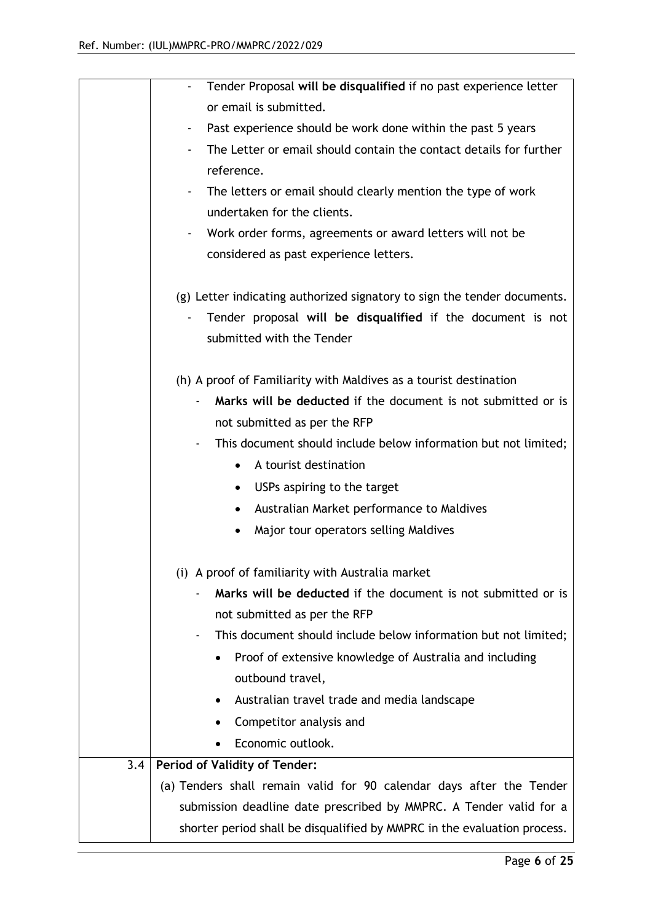|     | Tender Proposal will be disqualified if no past experience letter                 |
|-----|-----------------------------------------------------------------------------------|
|     | or email is submitted.                                                            |
|     | Past experience should be work done within the past 5 years<br>٠                  |
|     | The Letter or email should contain the contact details for further                |
|     | reference.                                                                        |
|     | The letters or email should clearly mention the type of work                      |
|     | undertaken for the clients.                                                       |
|     | Work order forms, agreements or award letters will not be<br>$\blacksquare$       |
|     | considered as past experience letters.                                            |
|     |                                                                                   |
|     | (g) Letter indicating authorized signatory to sign the tender documents.          |
|     | Tender proposal will be disqualified if the document is not                       |
|     | submitted with the Tender                                                         |
|     |                                                                                   |
|     | (h) A proof of Familiarity with Maldives as a tourist destination                 |
|     | Marks will be deducted if the document is not submitted or is                     |
|     | not submitted as per the RFP                                                      |
|     | This document should include below information but not limited;<br>$\blacksquare$ |
|     | A tourist destination<br>$\bullet$                                                |
|     | USPs aspiring to the target<br>$\bullet$                                          |
|     | Australian Market performance to Maldives<br>$\bullet$                            |
|     | Major tour operators selling Maldives                                             |
|     |                                                                                   |
|     | (i) A proof of familiarity with Australia market                                  |
|     | Marks will be deducted if the document is not submitted or is                     |
|     | not submitted as per the RFP                                                      |
|     | This document should include below information but not limited;                   |
|     | Proof of extensive knowledge of Australia and including                           |
|     | outbound travel,                                                                  |
|     | Australian travel trade and media landscape                                       |
|     | Competitor analysis and                                                           |
|     | Economic outlook.<br>$\bullet$                                                    |
| 3.4 | <b>Period of Validity of Tender:</b>                                              |
|     | (a) Tenders shall remain valid for 90 calendar days after the Tender              |
|     | submission deadline date prescribed by MMPRC. A Tender valid for a                |
|     | shorter period shall be disqualified by MMPRC in the evaluation process.          |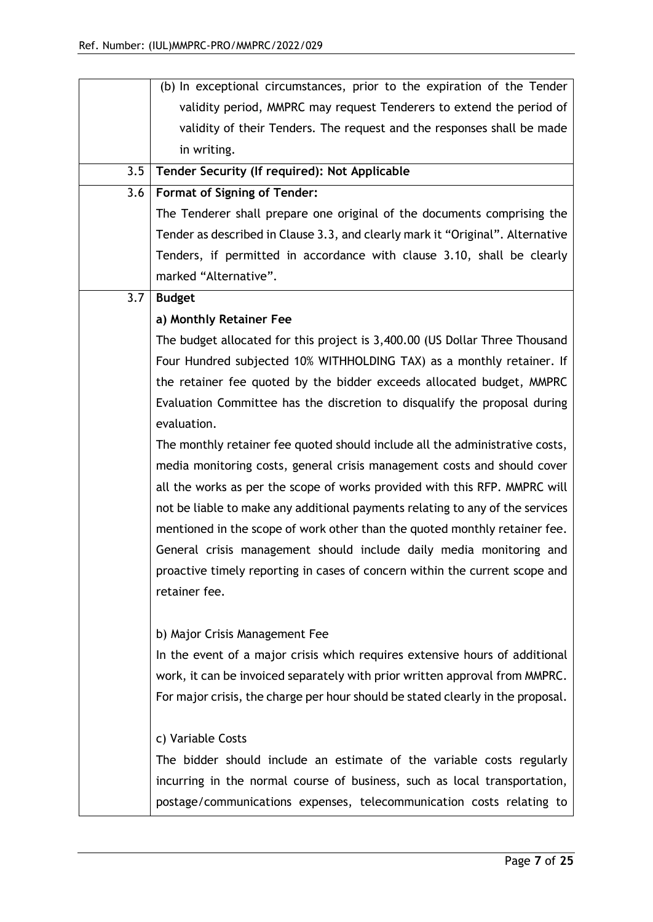|     | (b) In exceptional circumstances, prior to the expiration of the Tender         |  |
|-----|---------------------------------------------------------------------------------|--|
|     | validity period, MMPRC may request Tenderers to extend the period of            |  |
|     | validity of their Tenders. The request and the responses shall be made          |  |
|     | in writing.                                                                     |  |
| 3.5 | Tender Security (If required): Not Applicable                                   |  |
| 3.6 | <b>Format of Signing of Tender:</b>                                             |  |
|     | The Tenderer shall prepare one original of the documents comprising the         |  |
|     | Tender as described in Clause 3.3, and clearly mark it "Original". Alternative  |  |
|     | Tenders, if permitted in accordance with clause 3.10, shall be clearly          |  |
|     | marked "Alternative".                                                           |  |
| 3.7 | <b>Budget</b>                                                                   |  |
|     | a) Monthly Retainer Fee                                                         |  |
|     | The budget allocated for this project is 3,400.00 (US Dollar Three Thousand     |  |
|     | Four Hundred subjected 10% WITHHOLDING TAX) as a monthly retainer. If           |  |
|     | the retainer fee quoted by the bidder exceeds allocated budget, MMPRC           |  |
|     | Evaluation Committee has the discretion to disqualify the proposal during       |  |
|     | evaluation.                                                                     |  |
|     | The monthly retainer fee quoted should include all the administrative costs,    |  |
|     | media monitoring costs, general crisis management costs and should cover        |  |
|     | all the works as per the scope of works provided with this RFP. MMPRC will      |  |
|     | not be liable to make any additional payments relating to any of the services   |  |
|     | mentioned in the scope of work other than the quoted monthly retainer fee.      |  |
|     | General crisis management should include daily media monitoring and             |  |
|     | proactive timely reporting in cases of concern within the current scope and     |  |
|     | retainer fee.                                                                   |  |
|     |                                                                                 |  |
|     | b) Major Crisis Management Fee                                                  |  |
|     | In the event of a major crisis which requires extensive hours of additional     |  |
|     | work, it can be invoiced separately with prior written approval from MMPRC.     |  |
|     | For major crisis, the charge per hour should be stated clearly in the proposal. |  |
|     | c) Variable Costs                                                               |  |
|     | The bidder should include an estimate of the variable costs regularly           |  |
|     | incurring in the normal course of business, such as local transportation,       |  |
|     | postage/communications expenses, telecommunication costs relating to            |  |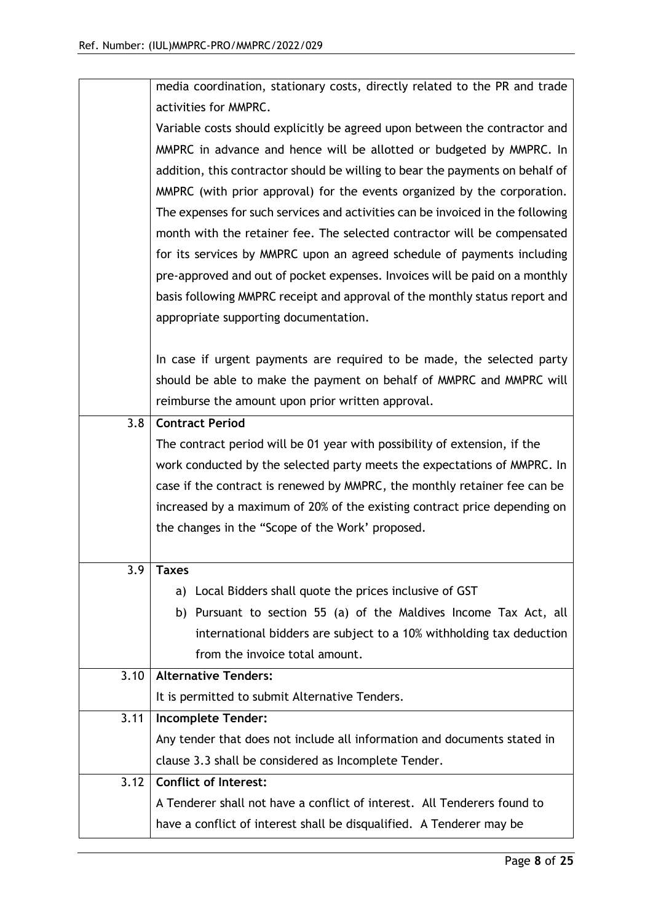|      | media coordination, stationary costs, directly related to the PR and trade     |
|------|--------------------------------------------------------------------------------|
|      | activities for MMPRC.                                                          |
|      | Variable costs should explicitly be agreed upon between the contractor and     |
|      | MMPRC in advance and hence will be allotted or budgeted by MMPRC. In           |
|      | addition, this contractor should be willing to bear the payments on behalf of  |
|      | MMPRC (with prior approval) for the events organized by the corporation.       |
|      | The expenses for such services and activities can be invoiced in the following |
|      | month with the retainer fee. The selected contractor will be compensated       |
|      | for its services by MMPRC upon an agreed schedule of payments including        |
|      | pre-approved and out of pocket expenses. Invoices will be paid on a monthly    |
|      | basis following MMPRC receipt and approval of the monthly status report and    |
|      | appropriate supporting documentation.                                          |
|      |                                                                                |
|      | In case if urgent payments are required to be made, the selected party         |
|      | should be able to make the payment on behalf of MMPRC and MMPRC will           |
|      | reimburse the amount upon prior written approval.                              |
| 3.8  | <b>Contract Period</b>                                                         |
|      | The contract period will be 01 year with possibility of extension, if the      |
|      | work conducted by the selected party meets the expectations of MMPRC. In       |
|      | case if the contract is renewed by MMPRC, the monthly retainer fee can be      |
|      | increased by a maximum of 20% of the existing contract price depending on      |
|      | the changes in the "Scope of the Work' proposed.                               |
|      |                                                                                |
| 3.9  | <b>Taxes</b>                                                                   |
|      | a) Local Bidders shall quote the prices inclusive of GST                       |
|      | b) Pursuant to section 55 (a) of the Maldives Income Tax Act, all              |
|      | international bidders are subject to a 10% withholding tax deduction           |
|      | from the invoice total amount.                                                 |
| 3.10 | <b>Alternative Tenders:</b>                                                    |
|      | It is permitted to submit Alternative Tenders.                                 |
| 3.11 | <b>Incomplete Tender:</b>                                                      |
|      | Any tender that does not include all information and documents stated in       |
|      | clause 3.3 shall be considered as Incomplete Tender.                           |
| 3.12 | <b>Conflict of Interest:</b>                                                   |
|      | A Tenderer shall not have a conflict of interest. All Tenderers found to       |
|      | have a conflict of interest shall be disqualified. A Tenderer may be           |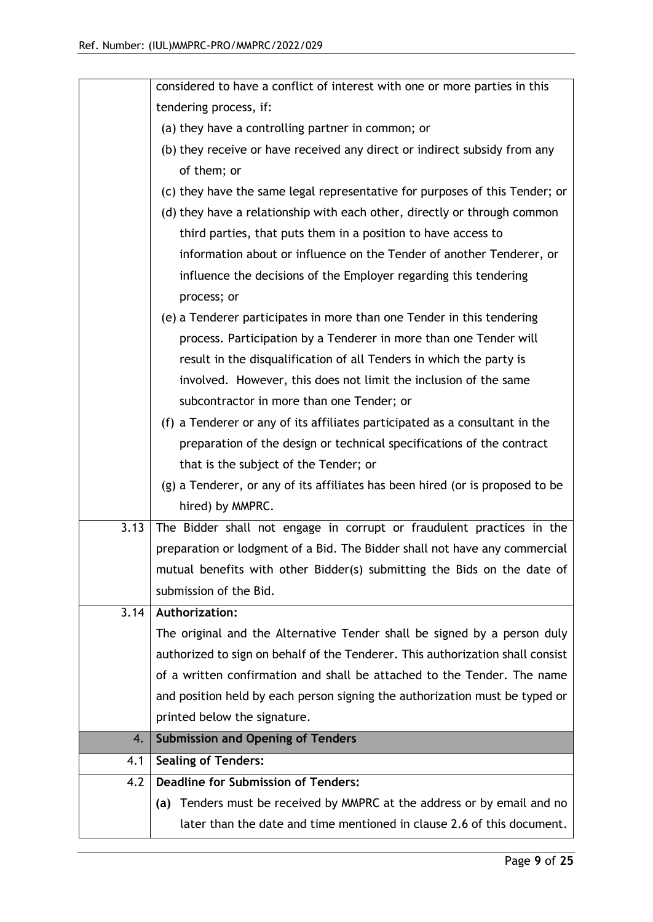|      | considered to have a conflict of interest with one or more parties in this     |
|------|--------------------------------------------------------------------------------|
|      | tendering process, if:                                                         |
|      | (a) they have a controlling partner in common; or                              |
|      | (b) they receive or have received any direct or indirect subsidy from any      |
|      | of them; or                                                                    |
|      | (c) they have the same legal representative for purposes of this Tender; or    |
|      | (d) they have a relationship with each other, directly or through common       |
|      | third parties, that puts them in a position to have access to                  |
|      | information about or influence on the Tender of another Tenderer, or           |
|      | influence the decisions of the Employer regarding this tendering               |
|      | process; or                                                                    |
|      | (e) a Tenderer participates in more than one Tender in this tendering          |
|      | process. Participation by a Tenderer in more than one Tender will              |
|      | result in the disqualification of all Tenders in which the party is            |
|      | involved. However, this does not limit the inclusion of the same               |
|      | subcontractor in more than one Tender; or                                      |
|      | (f) a Tenderer or any of its affiliates participated as a consultant in the    |
|      | preparation of the design or technical specifications of the contract          |
|      | that is the subject of the Tender; or                                          |
|      | (g) a Tenderer, or any of its affiliates has been hired (or is proposed to be  |
|      | hired) by MMPRC.                                                               |
| 3.13 | The Bidder shall not engage in corrupt or fraudulent practices in the          |
|      | preparation or lodgment of a Bid. The Bidder shall not have any commercial     |
|      | mutual benefits with other Bidder(s) submitting the Bids on the date of        |
|      | submission of the Bid.                                                         |
| 3.14 | <b>Authorization:</b>                                                          |
|      | The original and the Alternative Tender shall be signed by a person duly       |
|      | authorized to sign on behalf of the Tenderer. This authorization shall consist |
|      | of a written confirmation and shall be attached to the Tender. The name        |
|      | and position held by each person signing the authorization must be typed or    |
|      | printed below the signature.                                                   |
| 4.   | <b>Submission and Opening of Tenders</b>                                       |
| 4.1  | <b>Sealing of Tenders:</b>                                                     |
| 4.2  | <b>Deadline for Submission of Tenders:</b>                                     |
|      | Tenders must be received by MMPRC at the address or by email and no<br>(a)     |
|      | later than the date and time mentioned in clause 2.6 of this document.         |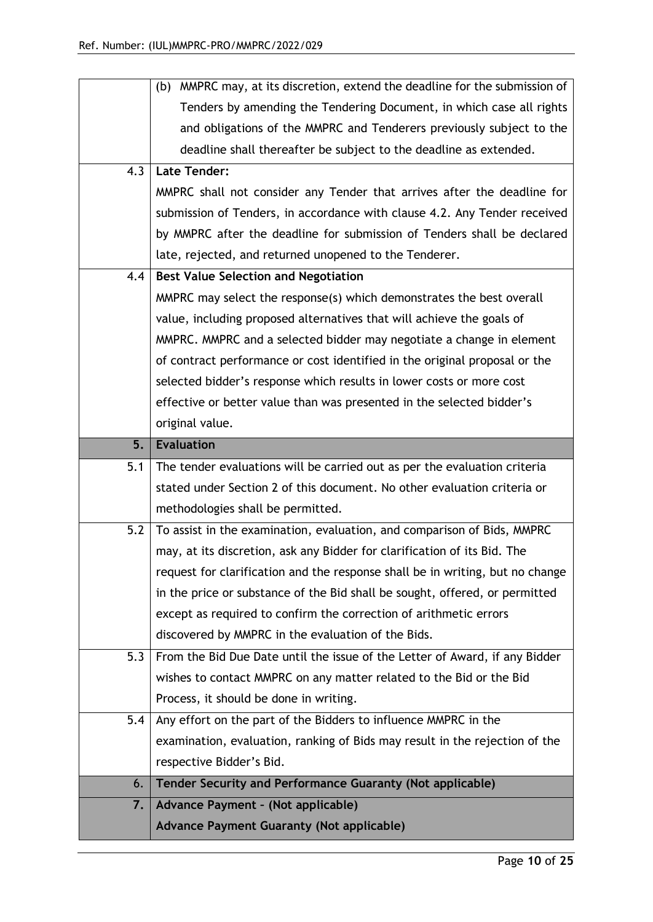|     | (b) MMPRC may, at its discretion, extend the deadline for the submission of            |
|-----|----------------------------------------------------------------------------------------|
|     | Tenders by amending the Tendering Document, in which case all rights                   |
|     | and obligations of the MMPRC and Tenderers previously subject to the                   |
|     | deadline shall thereafter be subject to the deadline as extended.                      |
| 4.3 | <b>Late Tender:</b>                                                                    |
|     | MMPRC shall not consider any Tender that arrives after the deadline for                |
|     | submission of Tenders, in accordance with clause 4.2. Any Tender received              |
|     | by MMPRC after the deadline for submission of Tenders shall be declared                |
|     | late, rejected, and returned unopened to the Tenderer.                                 |
| 4.4 | <b>Best Value Selection and Negotiation</b>                                            |
|     | MMPRC may select the response(s) which demonstrates the best overall                   |
|     | value, including proposed alternatives that will achieve the goals of                  |
|     | MMPRC. MMPRC and a selected bidder may negotiate a change in element                   |
|     | of contract performance or cost identified in the original proposal or the             |
|     | selected bidder's response which results in lower costs or more cost                   |
|     | effective or better value than was presented in the selected bidder's                  |
|     | original value.                                                                        |
| 5.  | <b>Evaluation</b>                                                                      |
|     |                                                                                        |
| 5.1 | The tender evaluations will be carried out as per the evaluation criteria              |
|     | stated under Section 2 of this document. No other evaluation criteria or               |
|     | methodologies shall be permitted.                                                      |
| 5.2 | To assist in the examination, evaluation, and comparison of Bids, MMPRC                |
|     | may, at its discretion, ask any Bidder for clarification of its Bid. The               |
|     | request for clarification and the response shall be in writing, but no change          |
|     | in the price or substance of the Bid shall be sought, offered, or permitted            |
|     | except as required to confirm the correction of arithmetic errors                      |
|     | discovered by MMPRC in the evaluation of the Bids.                                     |
| 5.3 | From the Bid Due Date until the issue of the Letter of Award, if any Bidder            |
|     | wishes to contact MMPRC on any matter related to the Bid or the Bid                    |
|     | Process, it should be done in writing.                                                 |
| 5.4 | Any effort on the part of the Bidders to influence MMPRC in the                        |
|     | examination, evaluation, ranking of Bids may result in the rejection of the            |
|     | respective Bidder's Bid.                                                               |
| 6.  | Tender Security and Performance Guaranty (Not applicable)                              |
| 7.  | Advance Payment - (Not applicable)<br><b>Advance Payment Guaranty (Not applicable)</b> |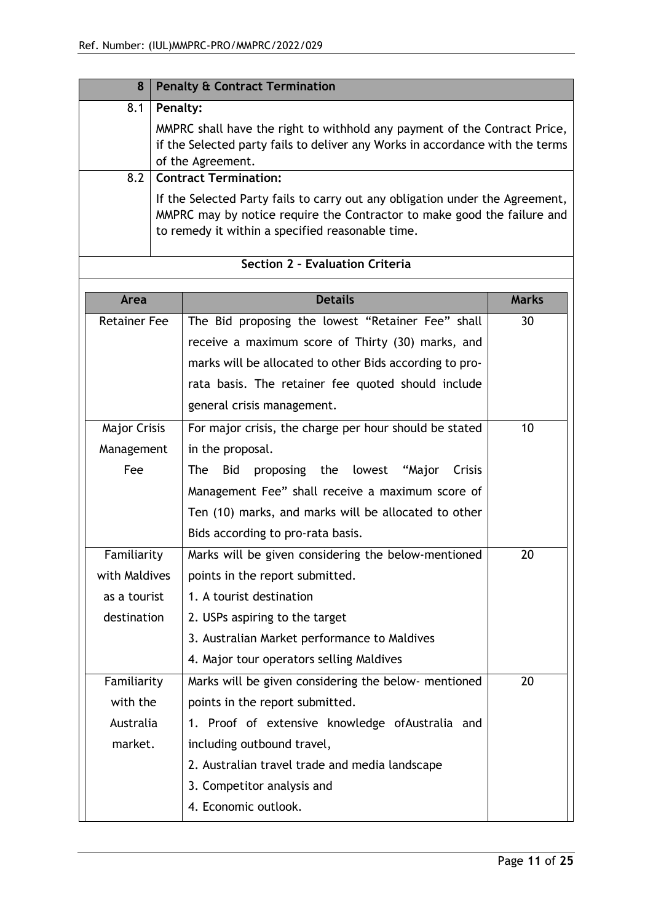| 8                   |                                                                                                                                                                                                             | <b>Penalty &amp; Contract Termination</b>               |              |  |  |
|---------------------|-------------------------------------------------------------------------------------------------------------------------------------------------------------------------------------------------------------|---------------------------------------------------------|--------------|--|--|
| 8.1                 |                                                                                                                                                                                                             | Penalty:                                                |              |  |  |
|                     | MMPRC shall have the right to withhold any payment of the Contract Price,<br>if the Selected party fails to deliver any Works in accordance with the terms<br>of the Agreement.                             |                                                         |              |  |  |
| 8.2                 |                                                                                                                                                                                                             | <b>Contract Termination:</b>                            |              |  |  |
|                     | If the Selected Party fails to carry out any obligation under the Agreement,<br>MMPRC may by notice require the Contractor to make good the failure and<br>to remedy it within a specified reasonable time. |                                                         |              |  |  |
|                     | Section 2 - Evaluation Criteria                                                                                                                                                                             |                                                         |              |  |  |
|                     |                                                                                                                                                                                                             |                                                         |              |  |  |
|                     |                                                                                                                                                                                                             |                                                         |              |  |  |
| Area                |                                                                                                                                                                                                             | <b>Details</b>                                          | <b>Marks</b> |  |  |
| <b>Retainer Fee</b> |                                                                                                                                                                                                             | The Bid proposing the lowest "Retainer Fee" shall       | 30           |  |  |
|                     |                                                                                                                                                                                                             | receive a maximum score of Thirty (30) marks, and       |              |  |  |
|                     |                                                                                                                                                                                                             | marks will be allocated to other Bids according to pro- |              |  |  |
|                     |                                                                                                                                                                                                             | rata basis. The retainer fee quoted should include      |              |  |  |
|                     |                                                                                                                                                                                                             | general crisis management.                              |              |  |  |

|               | generat crisis management.                             |    |
|---------------|--------------------------------------------------------|----|
| Major Crisis  | For major crisis, the charge per hour should be stated | 10 |
| Management    | in the proposal.                                       |    |
| Fee           | proposing the lowest "Major<br>Crisis<br>The<br>Bid    |    |
|               | Management Fee" shall receive a maximum score of       |    |
|               | Ten (10) marks, and marks will be allocated to other   |    |
|               | Bids according to pro-rata basis.                      |    |
| Familiarity   | Marks will be given considering the below-mentioned    | 20 |
| with Maldives | points in the report submitted.                        |    |
| as a tourist  | 1. A tourist destination                               |    |
| destination   | 2. USPs aspiring to the target                         |    |
|               | 3. Australian Market performance to Maldives           |    |
|               | 4. Major tour operators selling Maldives               |    |
| Familiarity   | Marks will be given considering the below- mentioned   | 20 |
| with the      | points in the report submitted.                        |    |
| Australia     | 1. Proof of extensive knowledge of Australia and       |    |
| market.       | including outbound travel,                             |    |
|               | 2. Australian travel trade and media landscape         |    |
|               | 3. Competitor analysis and                             |    |
|               | 4. Economic outlook.                                   |    |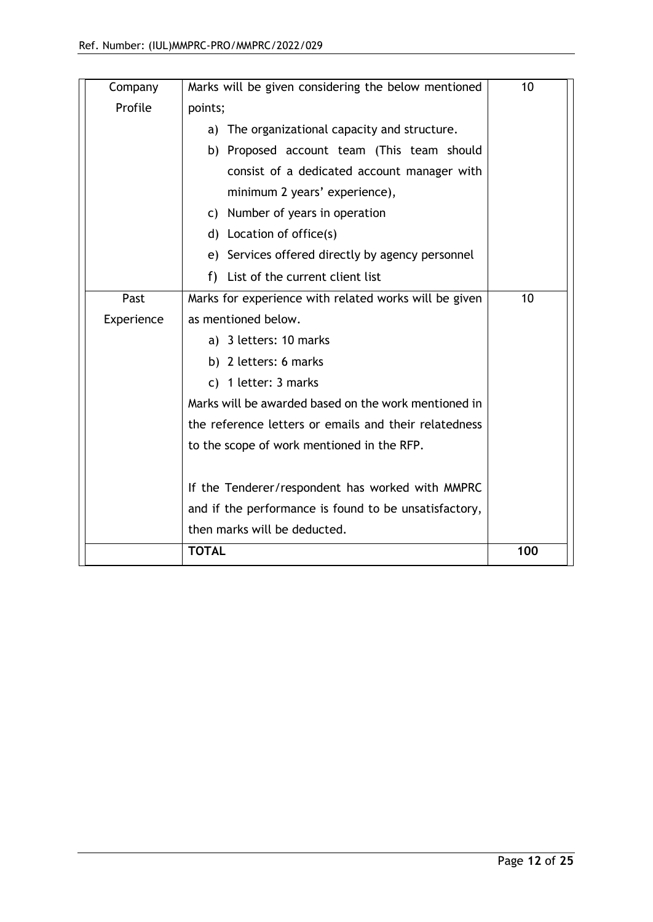| Company    | Marks will be given considering the below mentioned   | 10  |
|------------|-------------------------------------------------------|-----|
| Profile    | points;                                               |     |
|            | a) The organizational capacity and structure.         |     |
|            | b) Proposed account team (This team should            |     |
|            | consist of a dedicated account manager with           |     |
|            | minimum 2 years' experience),                         |     |
|            | c) Number of years in operation                       |     |
|            | d) Location of office(s)                              |     |
|            | e) Services offered directly by agency personnel      |     |
|            | List of the current client list<br>f)                 |     |
| Past       | Marks for experience with related works will be given | 10  |
| Experience | as mentioned below.                                   |     |
|            | a) 3 letters: 10 marks                                |     |
|            | b) 2 letters: 6 marks                                 |     |
|            | c) 1 letter: 3 marks                                  |     |
|            | Marks will be awarded based on the work mentioned in  |     |
|            | the reference letters or emails and their relatedness |     |
|            | to the scope of work mentioned in the RFP.            |     |
|            |                                                       |     |
|            | If the Tenderer/respondent has worked with MMPRC      |     |
|            | and if the performance is found to be unsatisfactory, |     |
|            | then marks will be deducted.                          |     |
|            | <b>TOTAL</b>                                          | 100 |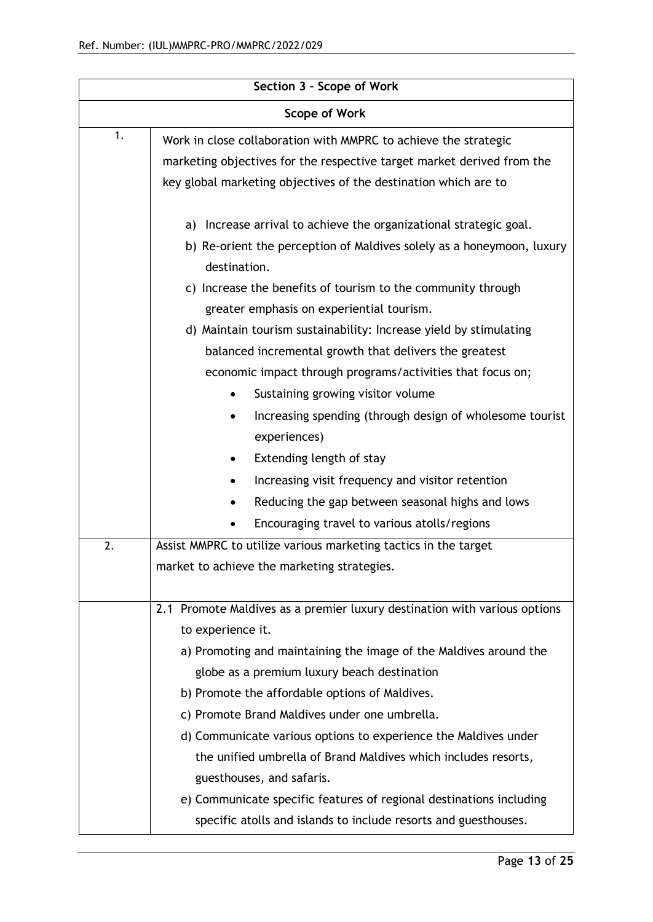| Section 3 - Scope of Work |                                                                           |  |  |  |  |  |  |
|---------------------------|---------------------------------------------------------------------------|--|--|--|--|--|--|
| <b>Scope of Work</b>      |                                                                           |  |  |  |  |  |  |
| 1.                        | Work in close collaboration with MMPRC to achieve the strategic           |  |  |  |  |  |  |
|                           | marketing objectives for the respective target market derived from the    |  |  |  |  |  |  |
|                           | key global marketing objectives of the destination which are to           |  |  |  |  |  |  |
|                           | Increase arrival to achieve the organizational strategic goal.<br>a)      |  |  |  |  |  |  |
|                           | b) Re-orient the perception of Maldives solely as a honeymoon, luxury     |  |  |  |  |  |  |
|                           | destination.                                                              |  |  |  |  |  |  |
|                           | c) Increase the benefits of tourism to the community through              |  |  |  |  |  |  |
|                           | greater emphasis on experiential tourism.                                 |  |  |  |  |  |  |
|                           | d) Maintain tourism sustainability: Increase yield by stimulating         |  |  |  |  |  |  |
|                           | balanced incremental growth that delivers the greatest                    |  |  |  |  |  |  |
|                           | economic impact through programs/activities that focus on;                |  |  |  |  |  |  |
|                           | Sustaining growing visitor volume                                         |  |  |  |  |  |  |
|                           | Increasing spending (through design of wholesome tourist                  |  |  |  |  |  |  |
|                           | experiences)                                                              |  |  |  |  |  |  |
|                           | Extending length of stay                                                  |  |  |  |  |  |  |
|                           | Increasing visit frequency and visitor retention                          |  |  |  |  |  |  |
|                           | Reducing the gap between seasonal highs and lows                          |  |  |  |  |  |  |
|                           | Encouraging travel to various atolls/regions                              |  |  |  |  |  |  |
| 2.                        | Assist MMPRC to utilize various marketing tactics in the target           |  |  |  |  |  |  |
|                           | market to achieve the marketing strategies.                               |  |  |  |  |  |  |
|                           |                                                                           |  |  |  |  |  |  |
|                           | 2.1 Promote Maldives as a premier luxury destination with various options |  |  |  |  |  |  |
|                           | to experience it.                                                         |  |  |  |  |  |  |
|                           | a) Promoting and maintaining the image of the Maldives around the         |  |  |  |  |  |  |
|                           | globe as a premium luxury beach destination                               |  |  |  |  |  |  |
|                           | b) Promote the affordable options of Maldives.                            |  |  |  |  |  |  |
|                           | c) Promote Brand Maldives under one umbrella.                             |  |  |  |  |  |  |
|                           | d) Communicate various options to experience the Maldives under           |  |  |  |  |  |  |
|                           | the unified umbrella of Brand Maldives which includes resorts,            |  |  |  |  |  |  |
|                           | guesthouses, and safaris.                                                 |  |  |  |  |  |  |
|                           | e) Communicate specific features of regional destinations including       |  |  |  |  |  |  |
|                           | specific atolls and islands to include resorts and guesthouses.           |  |  |  |  |  |  |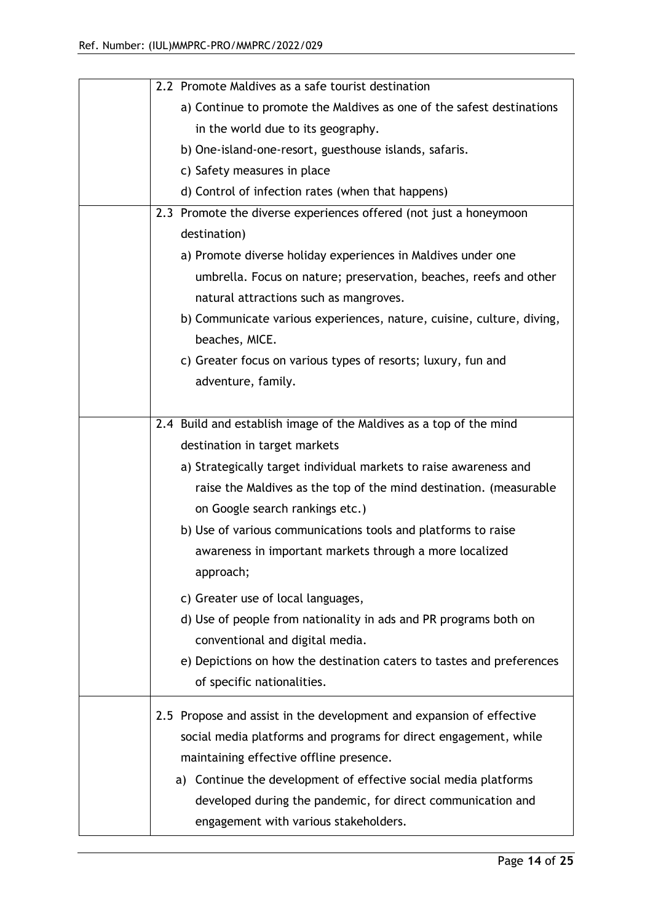| 2.2 Promote Maldives as a safe tourist destination                    |  |  |  |  |
|-----------------------------------------------------------------------|--|--|--|--|
| a) Continue to promote the Maldives as one of the safest destinations |  |  |  |  |
| in the world due to its geography.                                    |  |  |  |  |
| b) One-island-one-resort, guesthouse islands, safaris.                |  |  |  |  |
| c) Safety measures in place                                           |  |  |  |  |
| d) Control of infection rates (when that happens)                     |  |  |  |  |
| 2.3 Promote the diverse experiences offered (not just a honeymoon     |  |  |  |  |
| destination)                                                          |  |  |  |  |
| a) Promote diverse holiday experiences in Maldives under one          |  |  |  |  |
| umbrella. Focus on nature; preservation, beaches, reefs and other     |  |  |  |  |
| natural attractions such as mangroves.                                |  |  |  |  |
| b) Communicate various experiences, nature, cuisine, culture, diving, |  |  |  |  |
| beaches, MICE.                                                        |  |  |  |  |
| c) Greater focus on various types of resorts; luxury, fun and         |  |  |  |  |
| adventure, family.                                                    |  |  |  |  |
|                                                                       |  |  |  |  |
| 2.4 Build and establish image of the Maldives as a top of the mind    |  |  |  |  |
| destination in target markets                                         |  |  |  |  |
| a) Strategically target individual markets to raise awareness and     |  |  |  |  |
| raise the Maldives as the top of the mind destination. (measurable    |  |  |  |  |
| on Google search rankings etc.)                                       |  |  |  |  |
| b) Use of various communications tools and platforms to raise         |  |  |  |  |
| awareness in important markets through a more localized               |  |  |  |  |
| approach;                                                             |  |  |  |  |
| c) Greater use of local languages,                                    |  |  |  |  |
| d) Use of people from nationality in ads and PR programs both on      |  |  |  |  |
| conventional and digital media.                                       |  |  |  |  |
| e) Depictions on how the destination caters to tastes and preferences |  |  |  |  |
| of specific nationalities.                                            |  |  |  |  |
|                                                                       |  |  |  |  |
| 2.5 Propose and assist in the development and expansion of effective  |  |  |  |  |
| social media platforms and programs for direct engagement, while      |  |  |  |  |
| maintaining effective offline presence.                               |  |  |  |  |
| a) Continue the development of effective social media platforms       |  |  |  |  |
| developed during the pandemic, for direct communication and           |  |  |  |  |
| engagement with various stakeholders.                                 |  |  |  |  |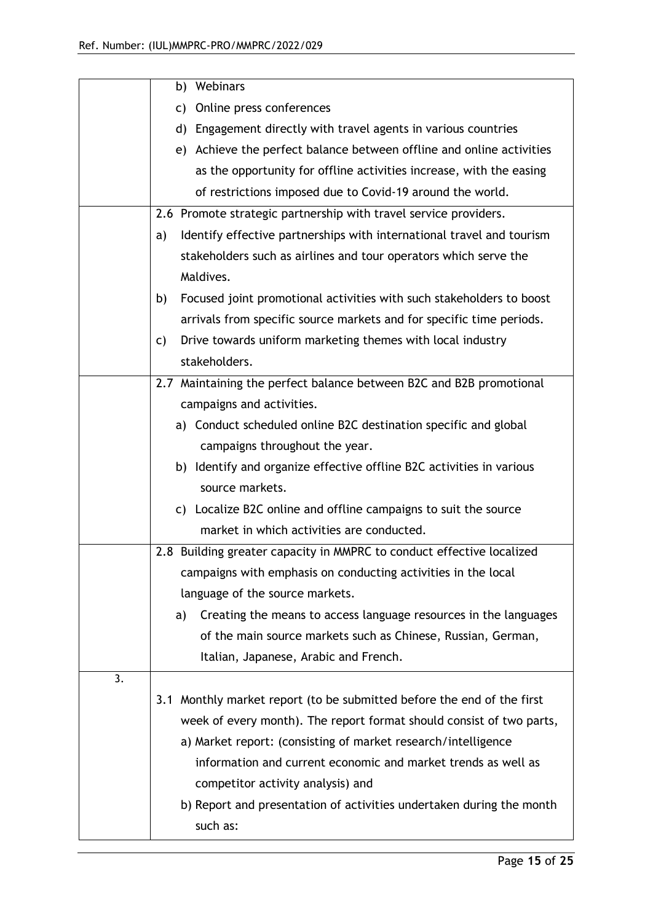|    | b) Webinars                                                                 |  |  |  |  |  |
|----|-----------------------------------------------------------------------------|--|--|--|--|--|
|    | c) Online press conferences                                                 |  |  |  |  |  |
|    | d) Engagement directly with travel agents in various countries              |  |  |  |  |  |
|    | e) Achieve the perfect balance between offline and online activities        |  |  |  |  |  |
|    | as the opportunity for offline activities increase, with the easing         |  |  |  |  |  |
|    | of restrictions imposed due to Covid-19 around the world.                   |  |  |  |  |  |
|    | 2.6 Promote strategic partnership with travel service providers.            |  |  |  |  |  |
|    | Identify effective partnerships with international travel and tourism<br>a) |  |  |  |  |  |
|    | stakeholders such as airlines and tour operators which serve the            |  |  |  |  |  |
|    | Maldives.                                                                   |  |  |  |  |  |
|    | Focused joint promotional activities with such stakeholders to boost<br>b)  |  |  |  |  |  |
|    | arrivals from specific source markets and for specific time periods.        |  |  |  |  |  |
|    | Drive towards uniform marketing themes with local industry<br>C)            |  |  |  |  |  |
|    | stakeholders.                                                               |  |  |  |  |  |
|    | 2.7 Maintaining the perfect balance between B2C and B2B promotional         |  |  |  |  |  |
|    | campaigns and activities.                                                   |  |  |  |  |  |
|    | a) Conduct scheduled online B2C destination specific and global             |  |  |  |  |  |
|    | campaigns throughout the year.                                              |  |  |  |  |  |
|    | b) Identify and organize effective offline B2C activities in various        |  |  |  |  |  |
|    | source markets.                                                             |  |  |  |  |  |
|    | c) Localize B2C online and offline campaigns to suit the source             |  |  |  |  |  |
|    | market in which activities are conducted.                                   |  |  |  |  |  |
|    | 2.8 Building greater capacity in MMPRC to conduct effective localized       |  |  |  |  |  |
|    | campaigns with emphasis on conducting activities in the local               |  |  |  |  |  |
|    | language of the source markets.                                             |  |  |  |  |  |
|    | Creating the means to access language resources in the languages<br>a)      |  |  |  |  |  |
|    | of the main source markets such as Chinese, Russian, German,                |  |  |  |  |  |
|    | Italian, Japanese, Arabic and French.                                       |  |  |  |  |  |
| 3. |                                                                             |  |  |  |  |  |
|    | 3.1 Monthly market report (to be submitted before the end of the first      |  |  |  |  |  |
|    | week of every month). The report format should consist of two parts,        |  |  |  |  |  |
|    | a) Market report: (consisting of market research/intelligence               |  |  |  |  |  |
|    | information and current economic and market trends as well as               |  |  |  |  |  |
|    | competitor activity analysis) and                                           |  |  |  |  |  |
|    | b) Report and presentation of activities undertaken during the month        |  |  |  |  |  |
|    | such as:                                                                    |  |  |  |  |  |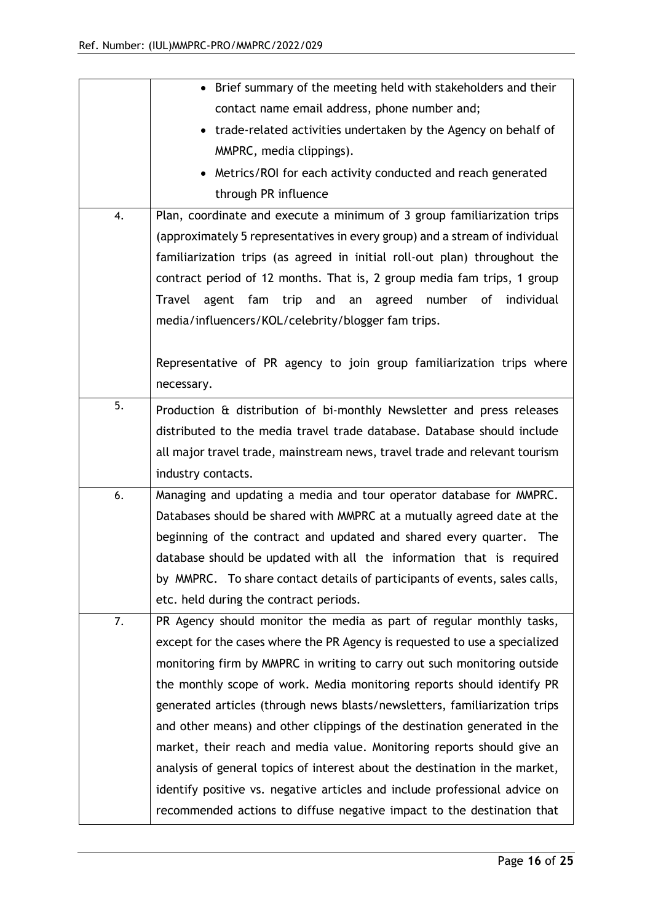|    | • Brief summary of the meeting held with stakeholders and their             |  |  |  |  |  |
|----|-----------------------------------------------------------------------------|--|--|--|--|--|
|    | contact name email address, phone number and;                               |  |  |  |  |  |
|    | • trade-related activities undertaken by the Agency on behalf of            |  |  |  |  |  |
|    | MMPRC, media clippings).                                                    |  |  |  |  |  |
|    | • Metrics/ROI for each activity conducted and reach generated               |  |  |  |  |  |
|    | through PR influence                                                        |  |  |  |  |  |
| 4. | Plan, coordinate and execute a minimum of 3 group familiarization trips     |  |  |  |  |  |
|    | (approximately 5 representatives in every group) and a stream of individual |  |  |  |  |  |
|    | familiarization trips (as agreed in initial roll-out plan) throughout the   |  |  |  |  |  |
|    | contract period of 12 months. That is, 2 group media fam trips, 1 group     |  |  |  |  |  |
|    | Travel agent fam<br>trip and an<br>agreed<br>number of<br>individual        |  |  |  |  |  |
|    | media/influencers/KOL/celebrity/blogger fam trips.                          |  |  |  |  |  |
|    |                                                                             |  |  |  |  |  |
|    | Representative of PR agency to join group familiarization trips where       |  |  |  |  |  |
|    | necessary.                                                                  |  |  |  |  |  |
| 5. | Production & distribution of bi-monthly Newsletter and press releases       |  |  |  |  |  |
|    | distributed to the media travel trade database. Database should include     |  |  |  |  |  |
|    | all major travel trade, mainstream news, travel trade and relevant tourism  |  |  |  |  |  |
|    | industry contacts.                                                          |  |  |  |  |  |
| 6. | Managing and updating a media and tour operator database for MMPRC.         |  |  |  |  |  |
|    | Databases should be shared with MMPRC at a mutually agreed date at the      |  |  |  |  |  |
|    | beginning of the contract and updated and shared every quarter. The         |  |  |  |  |  |
|    | database should be updated with all the information that is required        |  |  |  |  |  |
|    | by MMPRC. To share contact details of participants of events, sales calls,  |  |  |  |  |  |
|    | etc. held during the contract periods.                                      |  |  |  |  |  |
| 7. | PR Agency should monitor the media as part of regular monthly tasks,        |  |  |  |  |  |
|    | except for the cases where the PR Agency is requested to use a specialized  |  |  |  |  |  |
|    | monitoring firm by MMPRC in writing to carry out such monitoring outside    |  |  |  |  |  |
|    | the monthly scope of work. Media monitoring reports should identify PR      |  |  |  |  |  |
|    | generated articles (through news blasts/newsletters, familiarization trips  |  |  |  |  |  |
|    | and other means) and other clippings of the destination generated in the    |  |  |  |  |  |
|    | market, their reach and media value. Monitoring reports should give an      |  |  |  |  |  |
|    | analysis of general topics of interest about the destination in the market, |  |  |  |  |  |
|    | identify positive vs. negative articles and include professional advice on  |  |  |  |  |  |
|    | recommended actions to diffuse negative impact to the destination that      |  |  |  |  |  |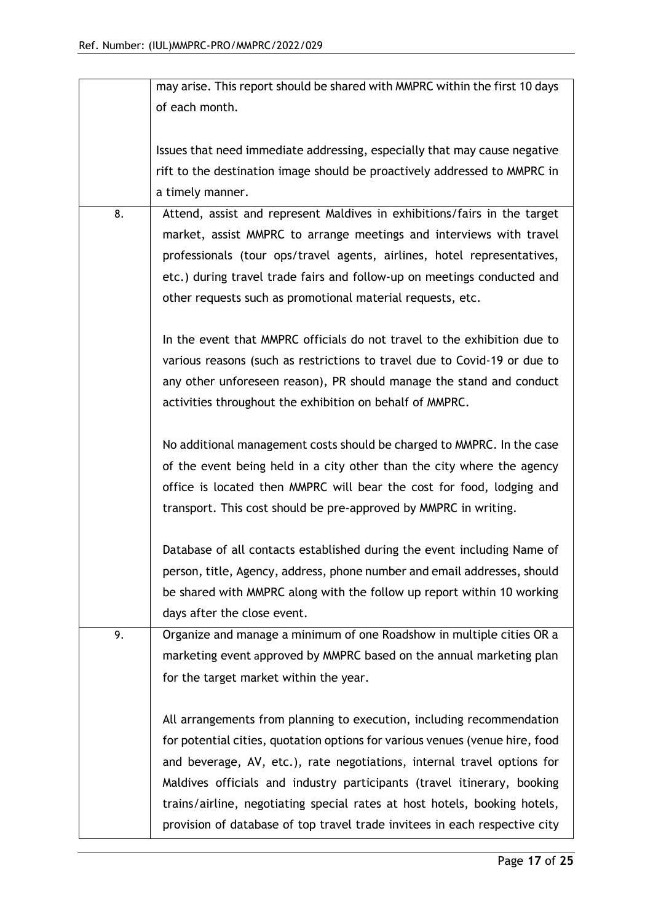|    | may arise. This report should be shared with MMPRC within the first 10 days  |  |  |  |  |  |  |
|----|------------------------------------------------------------------------------|--|--|--|--|--|--|
|    | of each month.                                                               |  |  |  |  |  |  |
|    |                                                                              |  |  |  |  |  |  |
|    | Issues that need immediate addressing, especially that may cause negative    |  |  |  |  |  |  |
|    | rift to the destination image should be proactively addressed to MMPRC in    |  |  |  |  |  |  |
|    | a timely manner.                                                             |  |  |  |  |  |  |
| 8. | Attend, assist and represent Maldives in exhibitions/fairs in the target     |  |  |  |  |  |  |
|    | market, assist MMPRC to arrange meetings and interviews with travel          |  |  |  |  |  |  |
|    | professionals (tour ops/travel agents, airlines, hotel representatives,      |  |  |  |  |  |  |
|    | etc.) during travel trade fairs and follow-up on meetings conducted and      |  |  |  |  |  |  |
|    | other requests such as promotional material requests, etc.                   |  |  |  |  |  |  |
|    |                                                                              |  |  |  |  |  |  |
|    | In the event that MMPRC officials do not travel to the exhibition due to     |  |  |  |  |  |  |
|    | various reasons (such as restrictions to travel due to Covid-19 or due to    |  |  |  |  |  |  |
|    | any other unforeseen reason), PR should manage the stand and conduct         |  |  |  |  |  |  |
|    | activities throughout the exhibition on behalf of MMPRC.                     |  |  |  |  |  |  |
|    |                                                                              |  |  |  |  |  |  |
|    | No additional management costs should be charged to MMPRC. In the case       |  |  |  |  |  |  |
|    | of the event being held in a city other than the city where the agency       |  |  |  |  |  |  |
|    | office is located then MMPRC will bear the cost for food, lodging and        |  |  |  |  |  |  |
|    | transport. This cost should be pre-approved by MMPRC in writing.             |  |  |  |  |  |  |
|    |                                                                              |  |  |  |  |  |  |
|    | Database of all contacts established during the event including Name of      |  |  |  |  |  |  |
|    | person, title, Agency, address, phone number and email addresses, should     |  |  |  |  |  |  |
|    | be shared with MMPRC along with the follow up report within 10 working       |  |  |  |  |  |  |
|    | days after the close event.                                                  |  |  |  |  |  |  |
| 9. | Organize and manage a minimum of one Roadshow in multiple cities OR a        |  |  |  |  |  |  |
|    | marketing event approved by MMPRC based on the annual marketing plan         |  |  |  |  |  |  |
|    | for the target market within the year.                                       |  |  |  |  |  |  |
|    |                                                                              |  |  |  |  |  |  |
|    | All arrangements from planning to execution, including recommendation        |  |  |  |  |  |  |
|    | for potential cities, quotation options for various venues (venue hire, food |  |  |  |  |  |  |
|    | and beverage, AV, etc.), rate negotiations, internal travel options for      |  |  |  |  |  |  |
|    | Maldives officials and industry participants (travel itinerary, booking      |  |  |  |  |  |  |
|    | trains/airline, negotiating special rates at host hotels, booking hotels,    |  |  |  |  |  |  |
|    | provision of database of top travel trade invitees in each respective city   |  |  |  |  |  |  |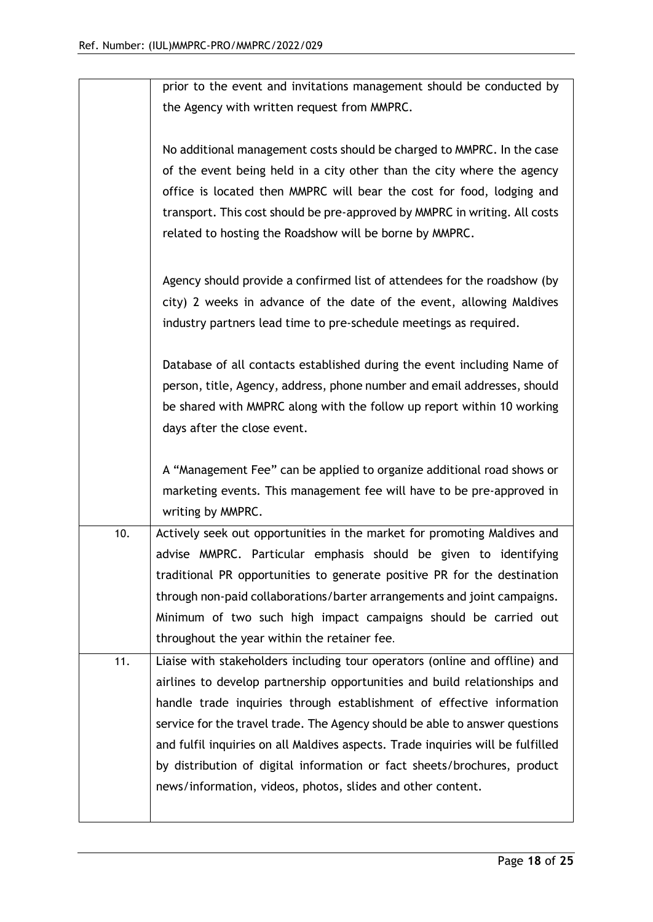|     | prior to the event and invitations management should be conducted by            |
|-----|---------------------------------------------------------------------------------|
|     | the Agency with written request from MMPRC.                                     |
|     |                                                                                 |
|     | No additional management costs should be charged to MMPRC. In the case          |
|     |                                                                                 |
|     | of the event being held in a city other than the city where the agency          |
|     | office is located then MMPRC will bear the cost for food, lodging and           |
|     | transport. This cost should be pre-approved by MMPRC in writing. All costs      |
|     | related to hosting the Roadshow will be borne by MMPRC.                         |
|     |                                                                                 |
|     | Agency should provide a confirmed list of attendees for the roadshow (by        |
|     | city) 2 weeks in advance of the date of the event, allowing Maldives            |
|     | industry partners lead time to pre-schedule meetings as required.               |
|     |                                                                                 |
|     | Database of all contacts established during the event including Name of         |
|     | person, title, Agency, address, phone number and email addresses, should        |
|     | be shared with MMPRC along with the follow up report within 10 working          |
|     | days after the close event.                                                     |
|     |                                                                                 |
|     | A "Management Fee" can be applied to organize additional road shows or          |
|     | marketing events. This management fee will have to be pre-approved in           |
|     | writing by MMPRC.                                                               |
| 10. | Actively seek out opportunities in the market for promoting Maldives and        |
|     |                                                                                 |
|     | advise MMPRC. Particular emphasis should be given to identifying                |
|     | traditional PR opportunities to generate positive PR for the destination        |
|     | through non-paid collaborations/barter arrangements and joint campaigns.        |
|     | Minimum of two such high impact campaigns should be carried out                 |
|     | throughout the year within the retainer fee.                                    |
| 11. | Liaise with stakeholders including tour operators (online and offline) and      |
|     | airlines to develop partnership opportunities and build relationships and       |
|     | handle trade inquiries through establishment of effective information           |
|     | service for the travel trade. The Agency should be able to answer questions     |
|     | and fulfil inquiries on all Maldives aspects. Trade inquiries will be fulfilled |
|     | by distribution of digital information or fact sheets/brochures, product        |
|     | news/information, videos, photos, slides and other content.                     |
|     |                                                                                 |
|     |                                                                                 |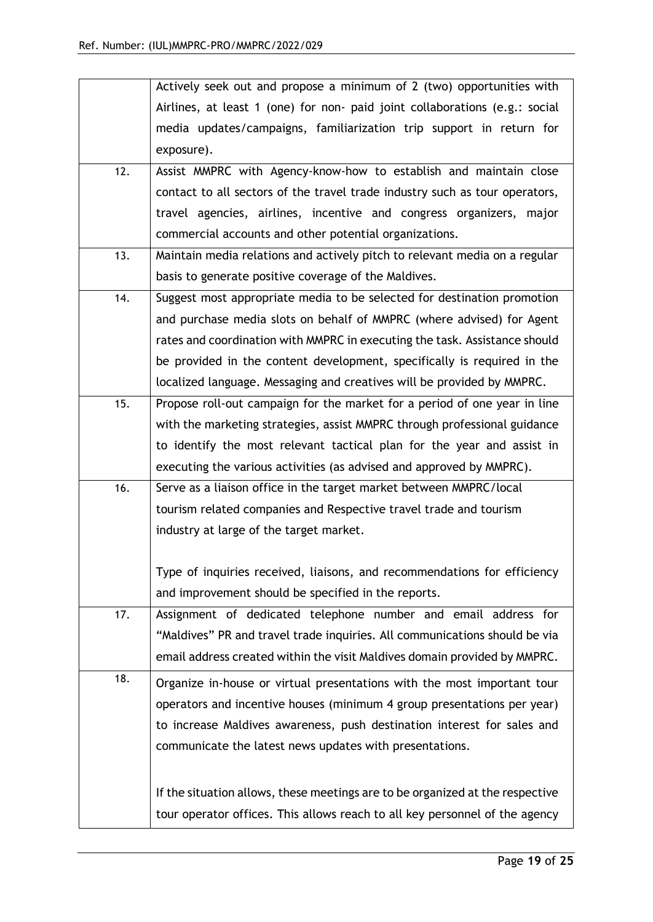|     | Actively seek out and propose a minimum of 2 (two) opportunities with         |  |  |  |  |  |
|-----|-------------------------------------------------------------------------------|--|--|--|--|--|
|     | Airlines, at least 1 (one) for non- paid joint collaborations (e.g.: social   |  |  |  |  |  |
|     | media updates/campaigns, familiarization trip support in return for           |  |  |  |  |  |
|     | exposure).                                                                    |  |  |  |  |  |
| 12. | Assist MMPRC with Agency-know-how to establish and maintain close             |  |  |  |  |  |
|     | contact to all sectors of the travel trade industry such as tour operators,   |  |  |  |  |  |
|     | travel agencies, airlines, incentive and congress organizers, major           |  |  |  |  |  |
|     | commercial accounts and other potential organizations.                        |  |  |  |  |  |
| 13. | Maintain media relations and actively pitch to relevant media on a regular    |  |  |  |  |  |
|     | basis to generate positive coverage of the Maldives.                          |  |  |  |  |  |
| 14. | Suggest most appropriate media to be selected for destination promotion       |  |  |  |  |  |
|     | and purchase media slots on behalf of MMPRC (where advised) for Agent         |  |  |  |  |  |
|     | rates and coordination with MMPRC in executing the task. Assistance should    |  |  |  |  |  |
|     | be provided in the content development, specifically is required in the       |  |  |  |  |  |
|     | localized language. Messaging and creatives will be provided by MMPRC.        |  |  |  |  |  |
| 15. | Propose roll-out campaign for the market for a period of one year in line     |  |  |  |  |  |
|     | with the marketing strategies, assist MMPRC through professional guidance     |  |  |  |  |  |
|     | to identify the most relevant tactical plan for the year and assist in        |  |  |  |  |  |
|     | executing the various activities (as advised and approved by MMPRC).          |  |  |  |  |  |
| 16. | Serve as a liaison office in the target market between MMPRC/local            |  |  |  |  |  |
|     | tourism related companies and Respective travel trade and tourism             |  |  |  |  |  |
|     | industry at large of the target market.                                       |  |  |  |  |  |
|     |                                                                               |  |  |  |  |  |
|     | Type of inquiries received, liaisons, and recommendations for efficiency      |  |  |  |  |  |
|     | and improvement should be specified in the reports.                           |  |  |  |  |  |
| 17. | Assignment of dedicated telephone number and email address for                |  |  |  |  |  |
|     | "Maldives" PR and travel trade inquiries. All communications should be via    |  |  |  |  |  |
|     | email address created within the visit Maldives domain provided by MMPRC.     |  |  |  |  |  |
| 18. | Organize in-house or virtual presentations with the most important tour       |  |  |  |  |  |
|     | operators and incentive houses (minimum 4 group presentations per year)       |  |  |  |  |  |
|     | to increase Maldives awareness, push destination interest for sales and       |  |  |  |  |  |
|     | communicate the latest news updates with presentations.                       |  |  |  |  |  |
|     | If the situation allows, these meetings are to be organized at the respective |  |  |  |  |  |
|     | tour operator offices. This allows reach to all key personnel of the agency   |  |  |  |  |  |
|     |                                                                               |  |  |  |  |  |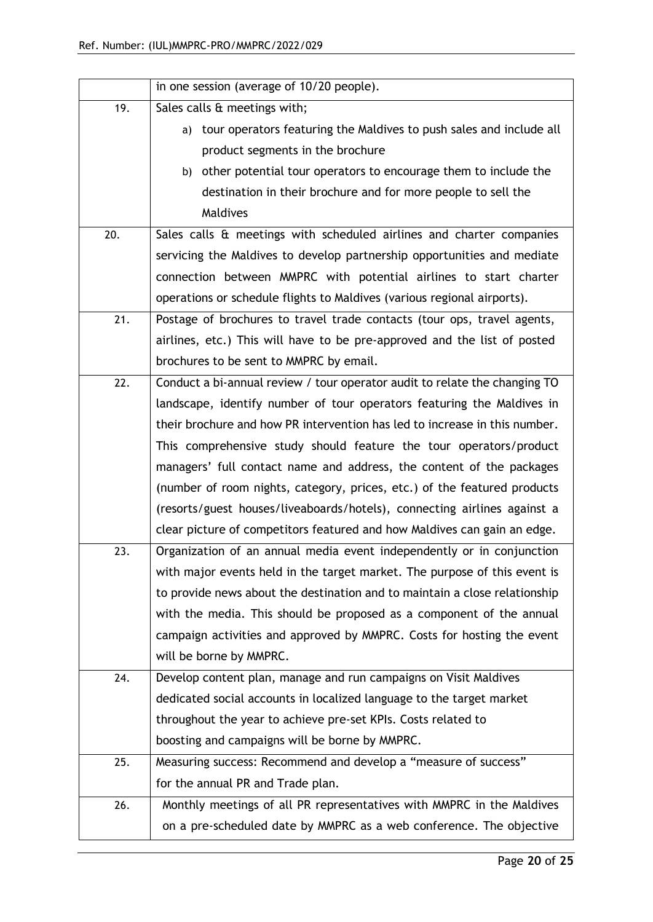|     | in one session (average of 10/20 people).                                  |  |  |  |  |  |  |
|-----|----------------------------------------------------------------------------|--|--|--|--|--|--|
| 19. | Sales calls & meetings with;                                               |  |  |  |  |  |  |
|     | tour operators featuring the Maldives to push sales and include all<br>a)  |  |  |  |  |  |  |
|     | product segments in the brochure                                           |  |  |  |  |  |  |
|     | b) other potential tour operators to encourage them to include the         |  |  |  |  |  |  |
|     | destination in their brochure and for more people to sell the              |  |  |  |  |  |  |
|     | Maldives                                                                   |  |  |  |  |  |  |
| 20. | Sales calls & meetings with scheduled airlines and charter companies       |  |  |  |  |  |  |
|     | servicing the Maldives to develop partnership opportunities and mediate    |  |  |  |  |  |  |
|     | connection between MMPRC with potential airlines to start charter          |  |  |  |  |  |  |
|     | operations or schedule flights to Maldives (various regional airports).    |  |  |  |  |  |  |
| 21. | Postage of brochures to travel trade contacts (tour ops, travel agents,    |  |  |  |  |  |  |
|     | airlines, etc.) This will have to be pre-approved and the list of posted   |  |  |  |  |  |  |
|     | brochures to be sent to MMPRC by email.                                    |  |  |  |  |  |  |
| 22. | Conduct a bi-annual review / tour operator audit to relate the changing TO |  |  |  |  |  |  |
|     | landscape, identify number of tour operators featuring the Maldives in     |  |  |  |  |  |  |
|     | their brochure and how PR intervention has led to increase in this number. |  |  |  |  |  |  |
|     | This comprehensive study should feature the tour operators/product         |  |  |  |  |  |  |
|     | managers' full contact name and address, the content of the packages       |  |  |  |  |  |  |
|     | (number of room nights, category, prices, etc.) of the featured products   |  |  |  |  |  |  |
|     | (resorts/guest houses/liveaboards/hotels), connecting airlines against a   |  |  |  |  |  |  |
|     | clear picture of competitors featured and how Maldives can gain an edge.   |  |  |  |  |  |  |
| 23. | Organization of an annual media event independently or in conjunction      |  |  |  |  |  |  |
|     | with major events held in the target market. The purpose of this event is  |  |  |  |  |  |  |
|     | to provide news about the destination and to maintain a close relationship |  |  |  |  |  |  |
|     | with the media. This should be proposed as a component of the annual       |  |  |  |  |  |  |
|     | campaign activities and approved by MMPRC. Costs for hosting the event     |  |  |  |  |  |  |
|     | will be borne by MMPRC.                                                    |  |  |  |  |  |  |
| 24. | Develop content plan, manage and run campaigns on Visit Maldives           |  |  |  |  |  |  |
|     | dedicated social accounts in localized language to the target market       |  |  |  |  |  |  |
|     | throughout the year to achieve pre-set KPIs. Costs related to              |  |  |  |  |  |  |
|     | boosting and campaigns will be borne by MMPRC.                             |  |  |  |  |  |  |
| 25. | Measuring success: Recommend and develop a "measure of success"            |  |  |  |  |  |  |
|     | for the annual PR and Trade plan.                                          |  |  |  |  |  |  |
| 26. | Monthly meetings of all PR representatives with MMPRC in the Maldives      |  |  |  |  |  |  |
|     | on a pre-scheduled date by MMPRC as a web conference. The objective        |  |  |  |  |  |  |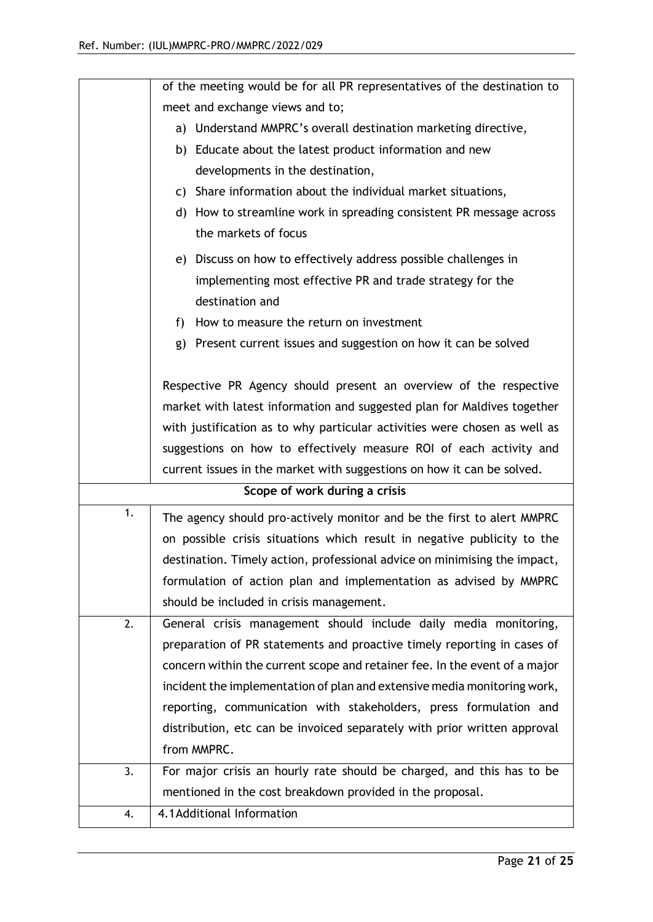|    | of the meeting would be for all PR representatives of the destination to                |  |  |  |  |  |
|----|-----------------------------------------------------------------------------------------|--|--|--|--|--|
|    | meet and exchange views and to;                                                         |  |  |  |  |  |
|    | a) Understand MMPRC's overall destination marketing directive,                          |  |  |  |  |  |
|    | b) Educate about the latest product information and new                                 |  |  |  |  |  |
|    | developments in the destination,                                                        |  |  |  |  |  |
|    | c) Share information about the individual market situations,                            |  |  |  |  |  |
|    | d) How to streamline work in spreading consistent PR message across                     |  |  |  |  |  |
|    | the markets of focus                                                                    |  |  |  |  |  |
|    | e) Discuss on how to effectively address possible challenges in                         |  |  |  |  |  |
|    | implementing most effective PR and trade strategy for the                               |  |  |  |  |  |
|    | destination and                                                                         |  |  |  |  |  |
|    | f) How to measure the return on investment                                              |  |  |  |  |  |
|    | g) Present current issues and suggestion on how it can be solved                        |  |  |  |  |  |
|    |                                                                                         |  |  |  |  |  |
|    | Respective PR Agency should present an overview of the respective                       |  |  |  |  |  |
|    | market with latest information and suggested plan for Maldives together                 |  |  |  |  |  |
|    | with justification as to why particular activities were chosen as well as               |  |  |  |  |  |
|    | suggestions on how to effectively measure ROI of each activity and                      |  |  |  |  |  |
|    |                                                                                         |  |  |  |  |  |
|    | current issues in the market with suggestions on how it can be solved.                  |  |  |  |  |  |
|    | Scope of work during a crisis                                                           |  |  |  |  |  |
| 1. | The agency should pro-actively monitor and be the first to alert MMPRC                  |  |  |  |  |  |
|    | on possible crisis situations which result in negative publicity to the                 |  |  |  |  |  |
|    | destination. Timely action, professional advice on minimising the impact,               |  |  |  |  |  |
|    | formulation of action plan and implementation as advised by MMPRC                       |  |  |  |  |  |
|    | should be included in crisis management.                                                |  |  |  |  |  |
| 2. | General crisis management should include daily media monitoring,                        |  |  |  |  |  |
|    | preparation of PR statements and proactive timely reporting in cases of                 |  |  |  |  |  |
|    | concern within the current scope and retainer fee. In the event of a major              |  |  |  |  |  |
|    | incident the implementation of plan and extensive media monitoring work,                |  |  |  |  |  |
|    | reporting, communication with stakeholders, press formulation and                       |  |  |  |  |  |
|    | distribution, etc can be invoiced separately with prior written approval                |  |  |  |  |  |
|    | from MMPRC.                                                                             |  |  |  |  |  |
| 3. | For major crisis an hourly rate should be charged, and this has to be                   |  |  |  |  |  |
|    | mentioned in the cost breakdown provided in the proposal.<br>4.1 Additional Information |  |  |  |  |  |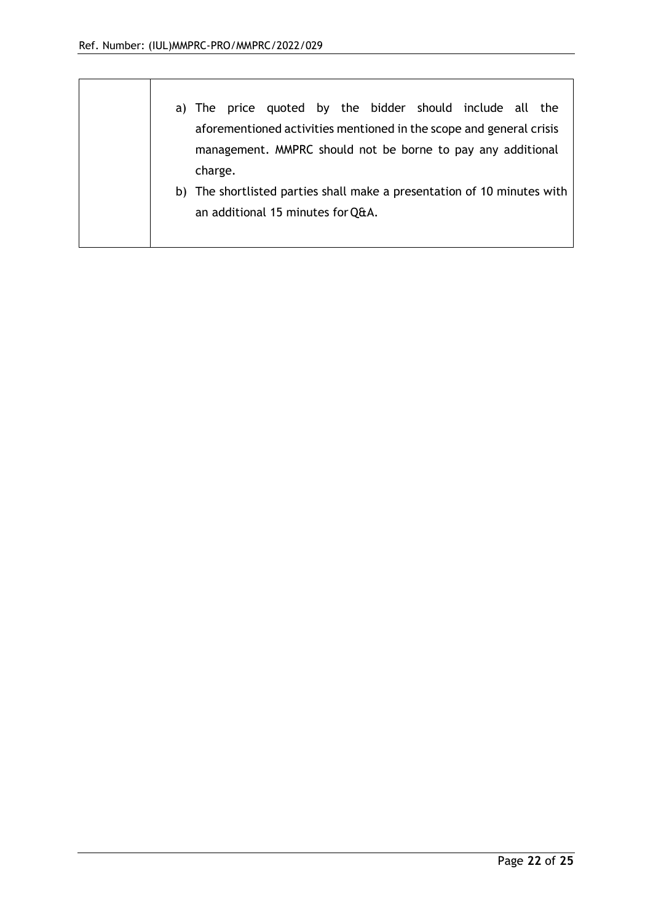|  | a) The price quoted by the bidder should include all the                                                                           |  |  |  |  |  |
|--|------------------------------------------------------------------------------------------------------------------------------------|--|--|--|--|--|
|  | aforementioned activities mentioned in the scope and general crisis<br>management. MMPRC should not be borne to pay any additional |  |  |  |  |  |
|  |                                                                                                                                    |  |  |  |  |  |
|  | charge.                                                                                                                            |  |  |  |  |  |
|  | b) The shortlisted parties shall make a presentation of 10 minutes with<br>an additional 15 minutes for Q&A.                       |  |  |  |  |  |
|  |                                                                                                                                    |  |  |  |  |  |
|  |                                                                                                                                    |  |  |  |  |  |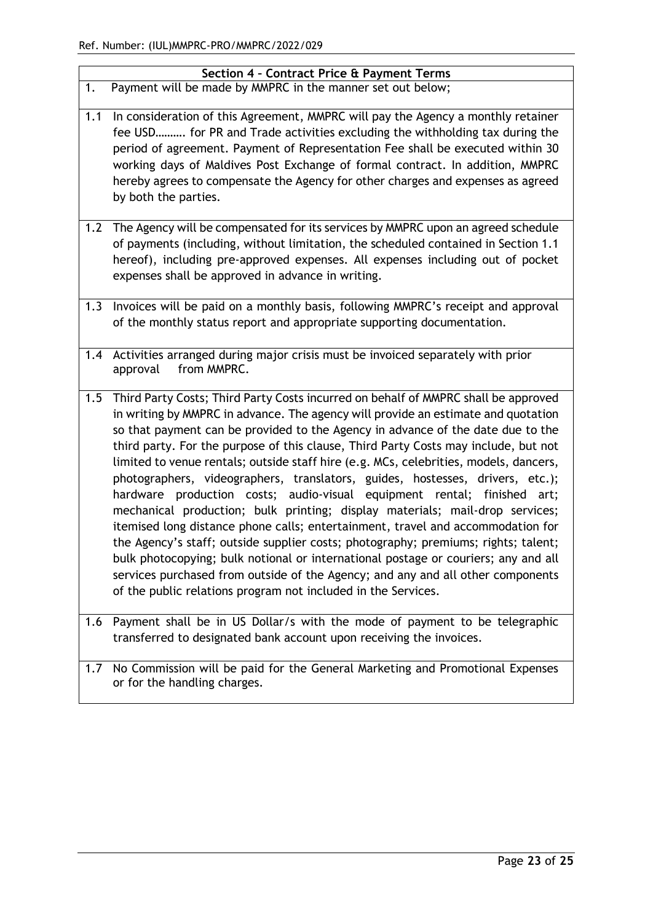| Section 4 - Contract Price & Payment Terms |                                                                                                                                                                                                                                                                                                                                                                                                                                                                                                                                                                                                                                                                                                                                                                                                                                                                                                                                                                                                                                                                                                              |  |  |  |  |
|--------------------------------------------|--------------------------------------------------------------------------------------------------------------------------------------------------------------------------------------------------------------------------------------------------------------------------------------------------------------------------------------------------------------------------------------------------------------------------------------------------------------------------------------------------------------------------------------------------------------------------------------------------------------------------------------------------------------------------------------------------------------------------------------------------------------------------------------------------------------------------------------------------------------------------------------------------------------------------------------------------------------------------------------------------------------------------------------------------------------------------------------------------------------|--|--|--|--|
| 1.                                         | Payment will be made by MMPRC in the manner set out below;                                                                                                                                                                                                                                                                                                                                                                                                                                                                                                                                                                                                                                                                                                                                                                                                                                                                                                                                                                                                                                                   |  |  |  |  |
| 1.1                                        | In consideration of this Agreement, MMPRC will pay the Agency a monthly retainer<br>fee USD for PR and Trade activities excluding the withholding tax during the<br>period of agreement. Payment of Representation Fee shall be executed within 30<br>working days of Maldives Post Exchange of formal contract. In addition, MMPRC<br>hereby agrees to compensate the Agency for other charges and expenses as agreed<br>by both the parties.                                                                                                                                                                                                                                                                                                                                                                                                                                                                                                                                                                                                                                                               |  |  |  |  |
|                                            | 1.2 The Agency will be compensated for its services by MMPRC upon an agreed schedule<br>of payments (including, without limitation, the scheduled contained in Section 1.1<br>hereof), including pre-approved expenses. All expenses including out of pocket<br>expenses shall be approved in advance in writing.                                                                                                                                                                                                                                                                                                                                                                                                                                                                                                                                                                                                                                                                                                                                                                                            |  |  |  |  |
| 1.3                                        | Invoices will be paid on a monthly basis, following MMPRC's receipt and approval<br>of the monthly status report and appropriate supporting documentation.                                                                                                                                                                                                                                                                                                                                                                                                                                                                                                                                                                                                                                                                                                                                                                                                                                                                                                                                                   |  |  |  |  |
| 1.4                                        | Activities arranged during major crisis must be invoiced separately with prior<br>from MMPRC.<br>approval                                                                                                                                                                                                                                                                                                                                                                                                                                                                                                                                                                                                                                                                                                                                                                                                                                                                                                                                                                                                    |  |  |  |  |
| 1.5                                        | Third Party Costs; Third Party Costs incurred on behalf of MMPRC shall be approved<br>in writing by MMPRC in advance. The agency will provide an estimate and quotation<br>so that payment can be provided to the Agency in advance of the date due to the<br>third party. For the purpose of this clause, Third Party Costs may include, but not<br>limited to venue rentals; outside staff hire (e.g. MCs, celebrities, models, dancers,<br>photographers, videographers, translators, guides, hostesses, drivers, etc.);<br>hardware production costs; audio-visual equipment rental; finished<br>art;<br>mechanical production; bulk printing; display materials; mail-drop services;<br>itemised long distance phone calls; entertainment, travel and accommodation for<br>the Agency's staff; outside supplier costs; photography; premiums; rights; talent;<br>bulk photocopying; bulk notional or international postage or couriers; any and all<br>services purchased from outside of the Agency; and any and all other components<br>of the public relations program not included in the Services. |  |  |  |  |
|                                            | 1.6 Payment shall be in US Dollar/s with the mode of payment to be telegraphic<br>transferred to designated bank account upon receiving the invoices.                                                                                                                                                                                                                                                                                                                                                                                                                                                                                                                                                                                                                                                                                                                                                                                                                                                                                                                                                        |  |  |  |  |
| 1.7                                        | No Commission will be paid for the General Marketing and Promotional Expenses<br>or for the handling charges.                                                                                                                                                                                                                                                                                                                                                                                                                                                                                                                                                                                                                                                                                                                                                                                                                                                                                                                                                                                                |  |  |  |  |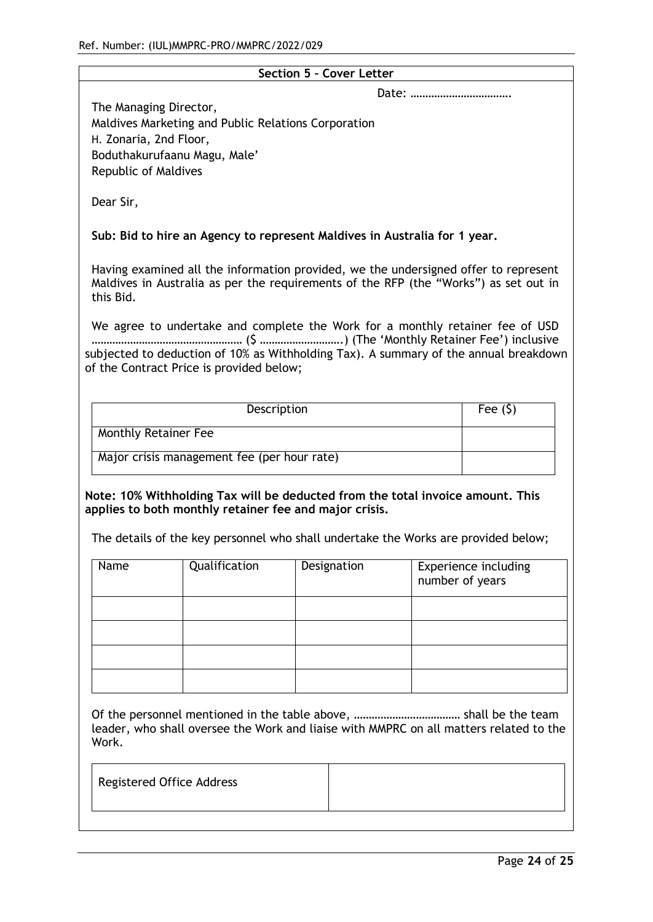| Section 5 - Cover Letter                                                                                                                                                                                                       |                                                                           |                                                                               |                 |                             |  |  |
|--------------------------------------------------------------------------------------------------------------------------------------------------------------------------------------------------------------------------------|---------------------------------------------------------------------------|-------------------------------------------------------------------------------|-----------------|-----------------------------|--|--|
| The Managing Director,<br>Maldives Marketing and Public Relations Corporation<br>H. Zonaria, 2nd Floor,<br>Boduthakurufaanu Magu, Male'<br>Republic of Maldives                                                                |                                                                           |                                                                               |                 |                             |  |  |
| Dear Sir,                                                                                                                                                                                                                      |                                                                           |                                                                               |                 |                             |  |  |
|                                                                                                                                                                                                                                | Sub: Bid to hire an Agency to represent Maldives in Australia for 1 year. |                                                                               |                 |                             |  |  |
| Having examined all the information provided, we the undersigned offer to represent<br>Maldives in Australia as per the requirements of the RFP (the "Works") as set out in<br>this Bid.                                       |                                                                           |                                                                               |                 |                             |  |  |
|                                                                                                                                                                                                                                |                                                                           | We agree to undertake and complete the Work for a monthly retainer fee of USD |                 |                             |  |  |
| subjected to deduction of 10% as Withholding Tax). A summary of the annual breakdown<br>of the Contract Price is provided below;                                                                                               |                                                                           |                                                                               |                 |                             |  |  |
|                                                                                                                                                                                                                                | Description                                                               |                                                                               |                 | Fee $(5)$                   |  |  |
| <b>Monthly Retainer Fee</b>                                                                                                                                                                                                    |                                                                           |                                                                               |                 |                             |  |  |
|                                                                                                                                                                                                                                | Major crisis management fee (per hour rate)                               |                                                                               |                 |                             |  |  |
| Note: 10% Withholding Tax will be deducted from the total invoice amount. This<br>applies to both monthly retainer fee and major crisis.<br>The details of the key personnel who shall undertake the Works are provided below; |                                                                           |                                                                               |                 |                             |  |  |
| Name                                                                                                                                                                                                                           | Qualification                                                             | Designation                                                                   | number of years | <b>Experience including</b> |  |  |
|                                                                                                                                                                                                                                |                                                                           |                                                                               |                 |                             |  |  |
|                                                                                                                                                                                                                                |                                                                           |                                                                               |                 |                             |  |  |
|                                                                                                                                                                                                                                |                                                                           |                                                                               |                 |                             |  |  |
|                                                                                                                                                                                                                                |                                                                           |                                                                               |                 |                             |  |  |
| leader, who shall oversee the Work and liaise with MMPRC on all matters related to the<br>Work.                                                                                                                                |                                                                           |                                                                               |                 |                             |  |  |
| <b>Registered Office Address</b>                                                                                                                                                                                               |                                                                           |                                                                               |                 |                             |  |  |